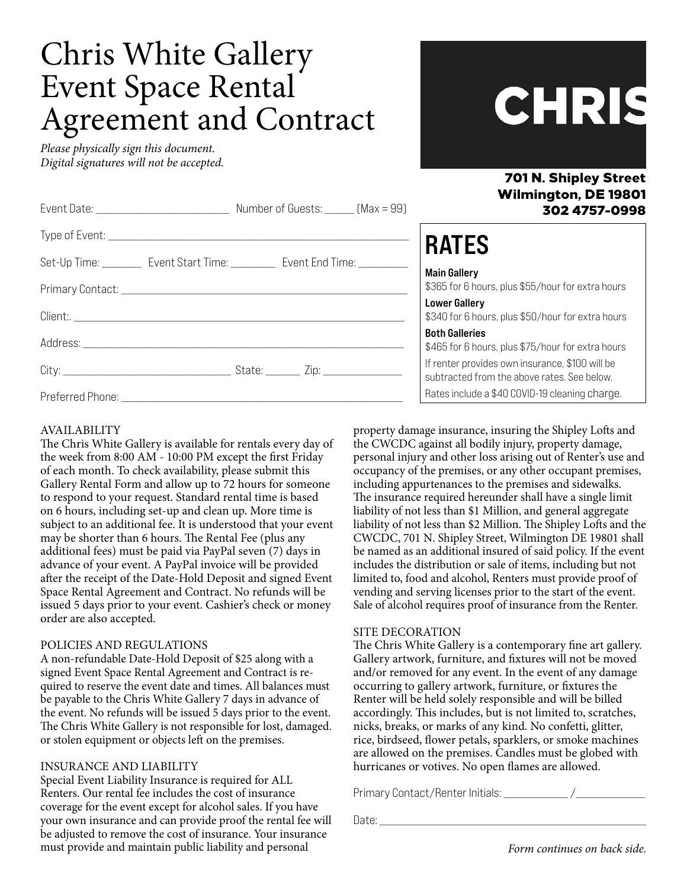# Chris White Gallery Event Space Rental Agreement and Contract

Client:. \_\_\_\_\_\_\_\_\_\_\_\_\_\_\_\_\_\_\_\_\_\_\_\_\_\_\_\_\_\_\_\_\_\_\_\_\_\_\_\_\_\_\_\_\_\_\_\_\_\_\_\_\_\_\_\_\_\_\_\_\_\_\_\_\_\_\_

City: \_\_\_\_\_\_\_\_\_\_\_\_\_\_\_\_\_\_\_\_\_\_\_\_\_\_\_\_\_\_\_\_\_\_ State: \_\_\_\_\_\_\_ Zip: \_\_\_\_\_\_\_\_\_\_\_\_\_\_\_\_

Address: \_\_\_\_\_\_\_\_\_\_\_\_\_\_\_\_\_\_\_\_\_\_\_\_\_\_\_\_\_\_\_\_\_\_\_\_\_\_\_\_\_\_\_\_\_\_\_\_\_\_\_\_\_\_\_\_\_\_\_\_\_\_\_\_\_

Preferred Phone: \_\_\_\_\_\_\_\_\_\_\_\_\_\_\_\_\_\_\_\_\_\_\_\_\_\_\_\_\_\_\_\_\_\_\_\_\_\_\_\_\_\_\_\_\_\_\_\_\_\_\_\_\_\_\_\_\_

*Please physically sign this document. Digital signatures will not be accepted.*

| LH.<br>$\mathcal{L}$ |   |  |
|----------------------|---|--|
|                      | श |  |
| I I I N              |   |  |

701 N. Shipley Street

#### Wilmington, DE 19801 302 4757-0998 Event Date: \_\_\_\_\_\_\_\_\_\_\_\_\_\_\_\_\_\_\_\_\_\_\_\_\_\_\_ Number of Guests: \_\_\_\_\_\_ (Max = 99) Type of Event: \_\_\_\_\_\_\_\_\_\_\_\_\_\_\_\_\_\_\_\_\_\_\_\_\_\_\_\_\_\_\_\_\_\_\_\_\_\_\_\_\_\_\_\_\_\_\_\_\_\_\_\_\_\_\_\_\_\_\_\_\_ Set-Up Time: \_\_\_\_\_\_\_\_\_ Event Start Time: \_\_\_\_\_\_\_\_\_ Event End Time: Primary Contact: \_\_\_\_\_\_\_\_\_\_\_\_\_\_\_\_\_\_\_\_\_\_\_\_\_\_\_\_\_\_\_\_\_\_\_\_\_\_\_\_\_\_\_\_\_\_\_\_\_\_\_\_\_\_\_\_\_\_ **RATES** Main Gallery \$365 for 6 hours, plus \$55/hour for extra hours

Lower Gallery \$340 for 6 hours, plus \$50/hour for extra hours

Both Galleries

\$465 for 6 hours, plus \$75/hour for extra hours

If renter provides own insurance, \$100 will be subtracted from the above rates. See below. Rates include a \$40 COVID-19 cleaning charge.

AVAILABILITY

The Chris White Gallery is available for rentals every day of the week from 8:00 AM - 10:00 PM except the first Friday of each month. To check availability, please submit this Gallery Rental Form and allow up to 72 hours for someone to respond to your request. Standard rental time is based on 6 hours, including set-up and clean up. More time is subject to an additional fee. It is understood that your event may be shorter than 6 hours. The Rental Fee (plus any additional fees) must be paid via PayPal seven (7) days in advance of your event. A PayPal invoice will be provided after the receipt of the Date-Hold Deposit and signed Event Space Rental Agreement and Contract. No refunds will be issued 5 days prior to your event. Cashier's check or money order are also accepted.

#### POLICIES AND REGULATIONS

A non-refundable Date-Hold Deposit of \$25 along with a signed Event Space Rental Agreement and Contract is required to reserve the event date and times. All balances must be payable to the Chris White Gallery 7 days in advance of the event. No refunds will be issued 5 days prior to the event. The Chris White Gallery is not responsible for lost, damaged. or stolen equipment or objects left on the premises.

## INSURANCE AND LIABILITY

Special Event Liability Insurance is required for ALL Renters. Our rental fee includes the cost of insurance coverage for the event except for alcohol sales. If you have your own insurance and can provide proof the rental fee will be adjusted to remove the cost of insurance. Your insurance must provide and maintain public liability and personal

property damage insurance, insuring the Shipley Lofts and the CWCDC against all bodily injury, property damage, personal injury and other loss arising out of Renter's use and occupancy of the premises, or any other occupant premises, including appurtenances to the premises and sidewalks. The insurance required hereunder shall have a single limit liability of not less than \$1 Million, and general aggregate liability of not less than \$2 Million. The Shipley Lofts and the CWCDC, 701 N. Shipley Street, Wilmington DE 19801 shall be named as an additional insured of said policy. If the event includes the distribution or sale of items, including but not limited to, food and alcohol, Renters must provide proof of vending and serving licenses prior to the start of the event. Sale of alcohol requires proof of insurance from the Renter.

#### SITE DECORATION

The Chris White Gallery is a contemporary fine art gallery. Gallery artwork, furniture, and fixtures will not be moved and/or removed for any event. In the event of any damage occurring to gallery artwork, furniture, or fixtures the Renter will be held solely responsible and will be billed accordingly. This includes, but is not limited to, scratches, nicks, breaks, or marks of any kind. No confetti, glitter, rice, birdseed, flower petals, sparklers, or smoke machines are allowed on the premises. Candles must be globed with hurricanes or votives. No open flames are allowed.

Primary Contact/Renter Initials:  $\frac{1}{2}$ 

Date: \_\_\_\_\_\_\_\_\_\_\_\_\_\_\_\_\_\_\_\_\_\_\_\_\_\_\_\_\_\_\_\_\_\_\_\_\_\_\_\_\_\_\_\_\_\_\_\_\_\_\_\_\_\_

*Form continues on back side.*